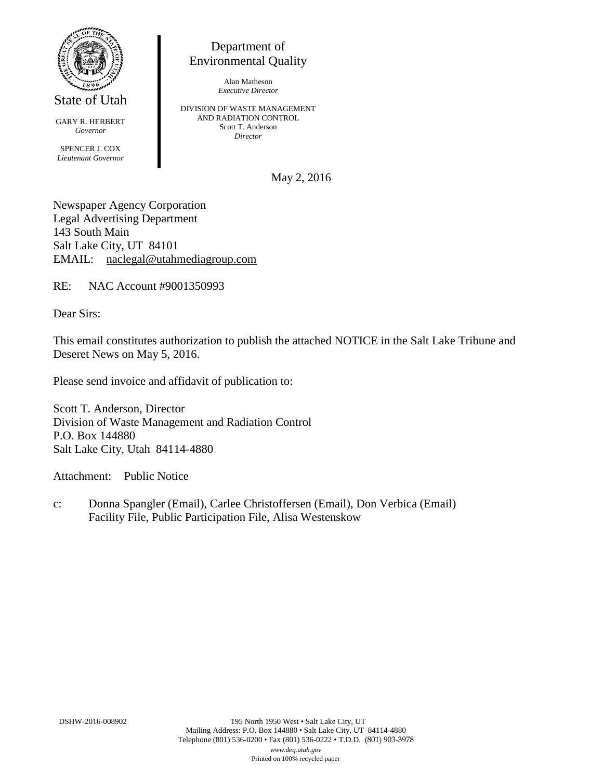

State of Utah

GARY R. HERBERT *Governor* SPENCER J. COX *Lieutenant Governor*

Department of Environmental Quality

> Alan Matheson *Executive Director*

DIVISION OF WASTE MANAGEMENT AND RADIATION CONTROL Scott T. Anderson *Director*

May 2, 2016

Newspaper Agency Corporation Legal Advertising Department 143 South Main Salt Lake City, UT 84101 EMAIL: naclegal@utahmediagroup.com

RE: NAC Account #9001350993

Dear Sirs:

This email constitutes authorization to publish the attached NOTICE in the Salt Lake Tribune and Deseret News on May 5, 2016.

Please send invoice and affidavit of publication to:

Scott T. Anderson, Director Division of Waste Management and Radiation Control P.O. Box 144880 Salt Lake City, Utah 84114-4880

Attachment: Public Notice

c: Donna Spangler (Email), Carlee Christoffersen (Email), Don Verbica (Email) Facility File, Public Participation File, Alisa Westenskow